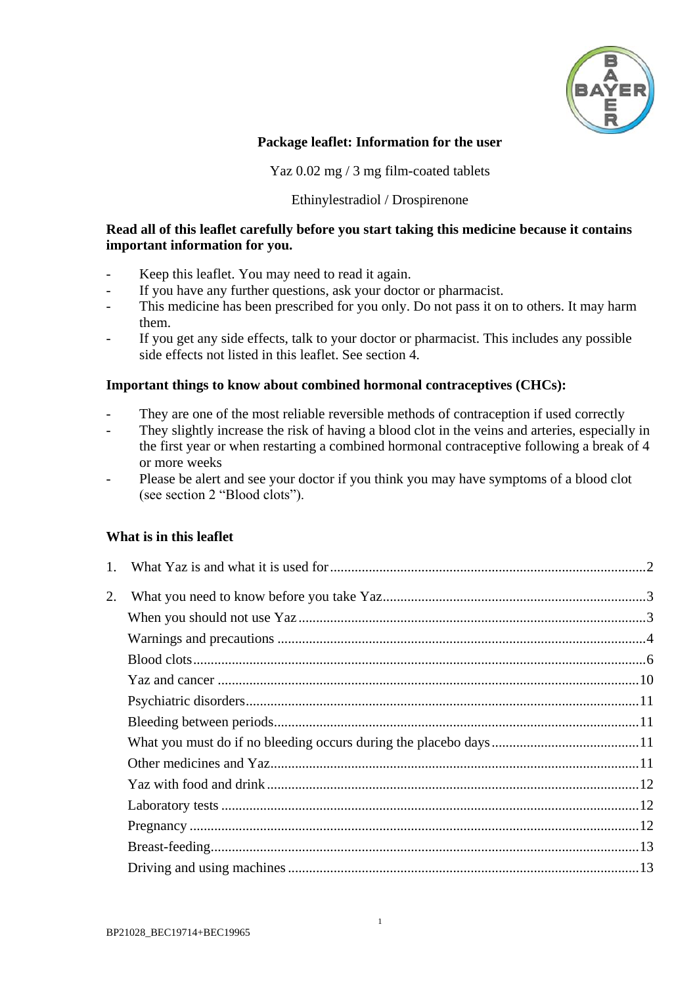

### **Package leaflet: Information for the user**

Yaz 0.02 mg / 3 mg film-coated tablets

### Ethinylestradiol / Drospirenone

### **Read all of this leaflet carefully before you start taking this medicine because it contains important information for you.**

- Keep this leaflet. You may need to read it again.
- If you have any further questions, ask your doctor or pharmacist.
- This medicine has been prescribed for you only. Do not pass it on to others. It may harm them.
- If you get any side effects, talk to your doctor or pharmacist. This includes any possible side effects not listed in this leaflet. See section [4.](#page-17-0)

### **Important things to know about combined hormonal contraceptives (CHCs):**

- They are one of the most reliable reversible methods of contraception if used correctly
- They slightly increase the risk of having a blood clot in the veins and arteries, especially in the first year or when restarting a combined hormonal contraceptive following a break of 4 or more weeks
- Please be alert and see your doctor if you think you may have symptoms of a blood clot (see section 2 "Blood clots").

## **What is in this leaflet**

| 2. |  |
|----|--|
|    |  |
|    |  |
|    |  |
|    |  |
|    |  |
|    |  |
|    |  |
|    |  |
|    |  |
|    |  |
|    |  |
|    |  |
|    |  |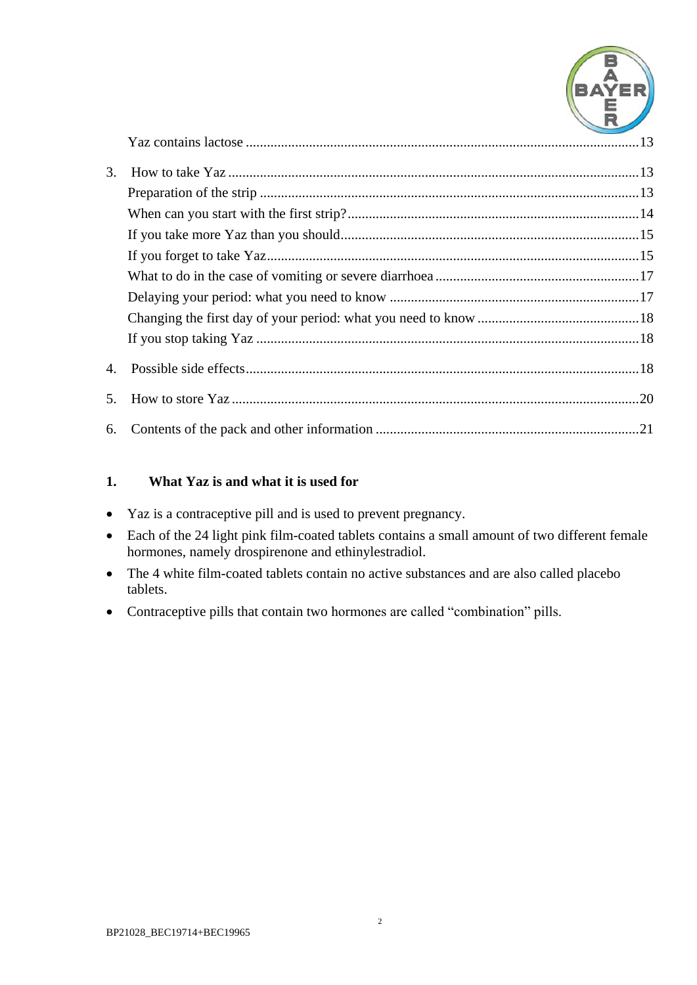

| 3. |  |
|----|--|
|    |  |
|    |  |
|    |  |
|    |  |
|    |  |
|    |  |
|    |  |
|    |  |
|    |  |
|    |  |
|    |  |

# <span id="page-1-0"></span>**1. What Yaz is and what it is used for**

- Yaz is a contraceptive pill and is used to prevent pregnancy.
- Each of the 24 light pink film-coated tablets contains a small amount of two different female hormones, namely drospirenone and ethinylestradiol.
- The 4 white film-coated tablets contain no active substances and are also called placebo tablets.
- Contraceptive pills that contain two hormones are called "combination" pills.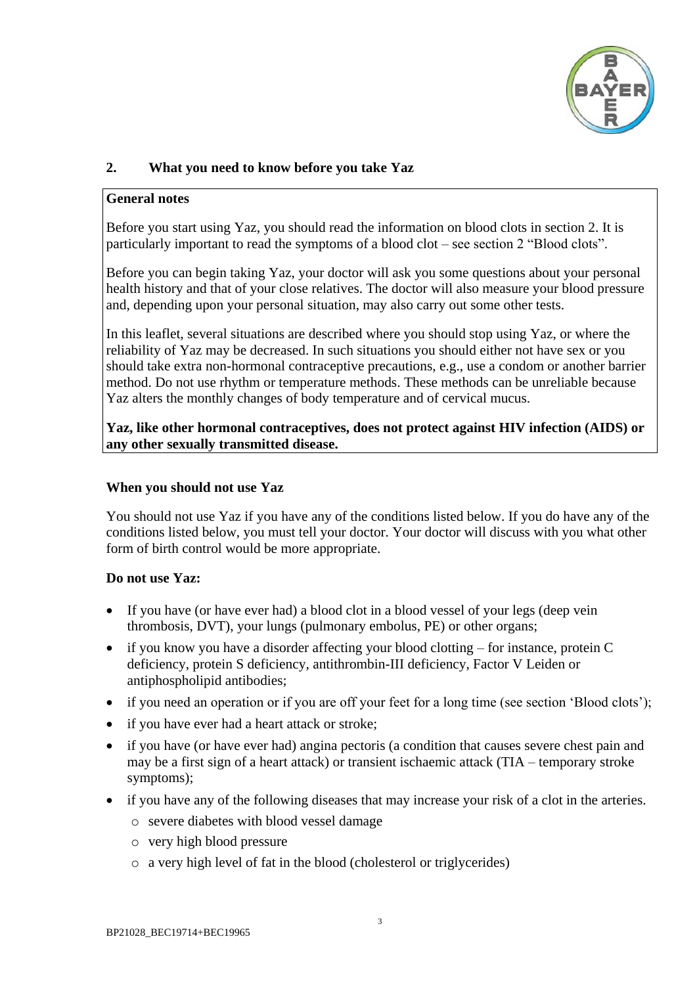

# <span id="page-2-0"></span>**2. What you need to know before you take Yaz**

#### **General notes**

Before you start using Yaz, you should read the information on blood clots in section 2. It is particularly important to read the symptoms of a blood clot – see section 2 "Blood clots".

Before you can begin taking Yaz, your doctor will ask you some questions about your personal health history and that of your close relatives. The doctor will also measure your blood pressure and, depending upon your personal situation, may also carry out some other tests.

In this leaflet, several situations are described where you should stop using Yaz, or where the reliability of Yaz may be decreased. In such situations you should either not have sex or you should take extra non-hormonal contraceptive precautions, e.g., use a condom or another barrier method. Do not use rhythm or temperature methods. These methods can be unreliable because Yaz alters the monthly changes of body temperature and of cervical mucus.

**Yaz, like other hormonal contraceptives, does not protect against HIV infection (AIDS) or any other sexually transmitted disease.**

### <span id="page-2-1"></span>**When you should not use Yaz**

You should not use Yaz if you have any of the conditions listed below. If you do have any of the conditions listed below, you must tell your doctor. Your doctor will discuss with you what other form of birth control would be more appropriate.

#### **Do not use Yaz:**

- If you have (or have ever had) a blood clot in a blood vessel of your legs (deep vein thrombosis, DVT), your lungs (pulmonary embolus, PE) or other organs;
- $\bullet$  if you know you have a disorder affecting your blood clotting for instance, protein C deficiency, protein S deficiency, antithrombin-III deficiency, Factor V Leiden or antiphospholipid antibodies;
- if you need an operation or if you are off your feet for a long time (see section 'Blood clots');
- if you have ever had a heart attack or stroke;
- if you have (or have ever had) angina pectoris (a condition that causes severe chest pain and may be a first sign of a heart attack) or transient ischaemic attack (TIA – temporary stroke symptoms);
- if you have any of the following diseases that may increase your risk of a clot in the arteries.
	- o severe diabetes with blood vessel damage
	- o very high blood pressure
	- o a very high level of fat in the blood (cholesterol or triglycerides)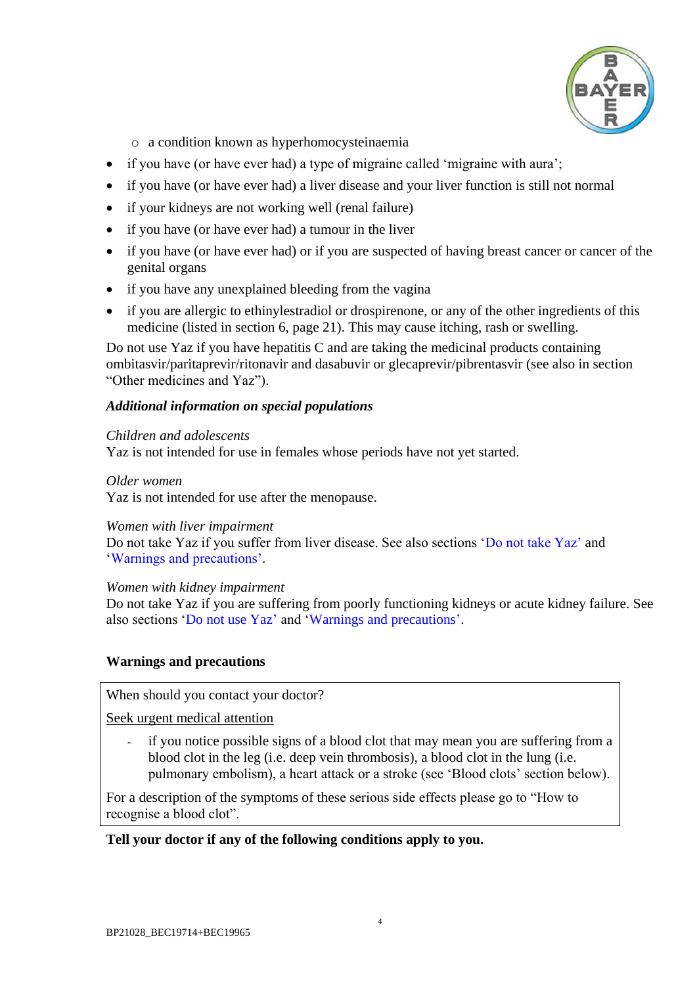

o a condition known as hyperhomocysteinaemia

- if you have (or have ever had) a type of migraine called 'migraine with aura';
- if you have (or have ever had) a liver disease and your liver function is still not normal
- if your kidneys are not working well (renal failure)
- if you have (or have ever had) a tumour in the liver
- if you have (or have ever had) or if you are suspected of having breast cancer or cancer of the genital organs
- if you have any unexplained bleeding from the vagina
- if you are allergic to ethinylestradiol or drospirenone, or any of the other ingredients of this medicine (listed in section 6, page [21\)](#page-20-0). This may cause itching, rash or swelling.

Do not use Yaz if you have hepatitis C and are taking the medicinal products containing ombitasvir/paritaprevir/ritonavir and dasabuvir or glecaprevir/pibrentasvir (see also in section "Other medicines and Yaz").

### *Additional information on special populations*

#### *Children and adolescents*

Yaz is not intended for use in females whose periods have not yet started.

#### *Older women*

Yaz is not intended for use after the menopause.

#### *Women with liver impairment*

Do not take Yaz if you suffer from liver disease. See also sections 'Do not take Yaz' and 'Warnings and precautions'.

#### *Women with kidney impairment*

Do not take Yaz if you are suffering from poorly functioning kidneys or acute kidney failure. See also sections 'Do not use Yaz' and 'Warnings and precautions'.

## <span id="page-3-0"></span>**Warnings and precautions**

When should you contact your doctor?

Seek urgent medical attention

if you notice possible signs of a blood clot that may mean you are suffering from a blood clot in the leg (i.e. deep vein thrombosis), a blood clot in the lung (i.e. pulmonary embolism), a heart attack or a stroke (see 'Blood clots' section below).

For a description of the symptoms of these serious side effects please go to "How to recognise a blood clot".

## **Tell your doctor if any of the following conditions apply to you.**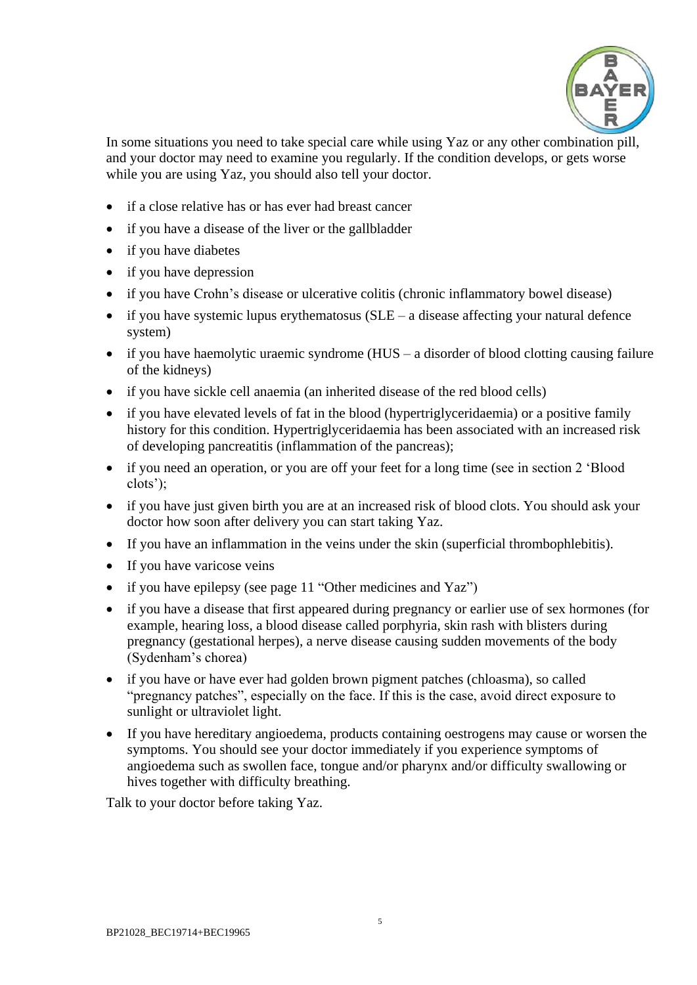

In some situations you need to take special care while using Yaz or any other combination pill, and your doctor may need to examine you regularly. If the condition develops, or gets worse while you are using Yaz, you should also tell your doctor.

- if a close relative has or has ever had breast cancer
- if you have a disease of the liver or the gallbladder
- if you have diabetes
- if you have depression
- if you have Crohn's disease or ulcerative colitis (chronic inflammatory bowel disease)
- $\bullet$  if you have systemic lupus erythematosus (SLE a disease affecting your natural defence system)
- $\bullet$  if you have haemolytic uraemic syndrome (HUS a disorder of blood clotting causing failure of the kidneys)
- if you have sickle cell anaemia (an inherited disease of the red blood cells)
- if you have elevated levels of fat in the blood (hypertriglyceridaemia) or a positive family history for this condition. Hypertriglyceridaemia has been associated with an increased risk of developing pancreatitis (inflammation of the pancreas);
- if you need an operation, or you are off your feet for a long time (see in section 2 'Blood clots');
- if you have just given birth you are at an increased risk of blood clots. You should ask your doctor how soon after delivery you can start taking Yaz.
- If you have an inflammation in the veins under the skin (superficial thrombophlebitis).
- If you have varicose veins
- if you have epilepsy (see page [11](#page-10-3) "Other medicines and Yaz")
- if you have a disease that first appeared during pregnancy or earlier use of sex hormones (for example, hearing loss, a blood disease called porphyria, skin rash with blisters during pregnancy (gestational herpes), a nerve disease causing sudden movements of the body (Sydenham's chorea)
- if you have or have ever had golden brown pigment patches (chloasma), so called "pregnancy patches", especially on the face. If this is the case, avoid direct exposure to sunlight or ultraviolet light.
- If you have hereditary angioedema, products containing oestrogens may cause or worsen the symptoms. You should see your doctor immediately if you experience symptoms of angioedema such as swollen face, tongue and/or pharynx and/or difficulty swallowing or hives together with difficulty breathing.

Talk to your doctor before taking Yaz.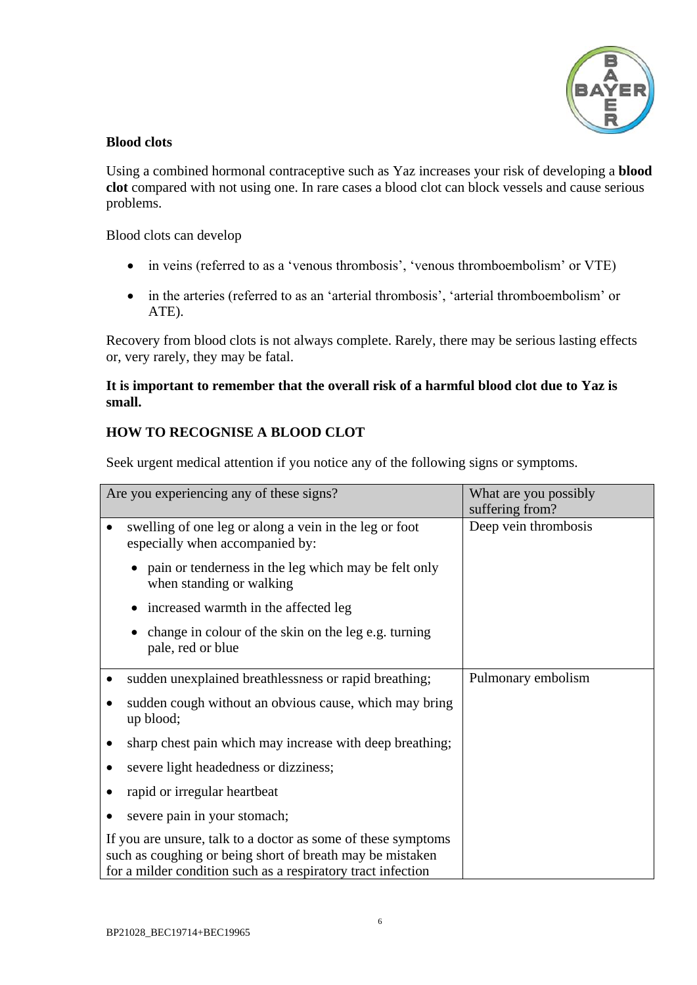

### <span id="page-5-0"></span>**Blood clots**

Using a combined hormonal contraceptive such as Yaz increases your risk of developing a **blood clot** compared with not using one. In rare cases a blood clot can block vessels and cause serious problems.

Blood clots can develop

- in veins (referred to as a 'venous thrombosis', 'venous thromboembolism' or VTE)
- in the arteries (referred to as an 'arterial thrombosis', 'arterial thromboembolism' or ATE).

Recovery from blood clots is not always complete. Rarely, there may be serious lasting effects or, very rarely, they may be fatal.

## **It is important to remember that the overall risk of a harmful blood clot due to Yaz is small.**

# **HOW TO RECOGNISE A BLOOD CLOT**

Seek urgent medical attention if you notice any of the following signs or symptoms.

| Are you experiencing any of these signs?                                                                                                                                                   | What are you possibly |
|--------------------------------------------------------------------------------------------------------------------------------------------------------------------------------------------|-----------------------|
|                                                                                                                                                                                            | suffering from?       |
| swelling of one leg or along a vein in the leg or foot<br>especially when accompanied by:                                                                                                  | Deep vein thrombosis  |
| pain or tenderness in the leg which may be felt only<br>when standing or walking                                                                                                           |                       |
| increased warmth in the affected leg                                                                                                                                                       |                       |
| change in colour of the skin on the leg e.g. turning<br>pale, red or blue                                                                                                                  |                       |
| sudden unexplained breathlessness or rapid breathing;                                                                                                                                      | Pulmonary embolism    |
| sudden cough without an obvious cause, which may bring<br>up blood;                                                                                                                        |                       |
| sharp chest pain which may increase with deep breathing;                                                                                                                                   |                       |
| severe light headedness or dizziness;                                                                                                                                                      |                       |
| rapid or irregular heartbeat                                                                                                                                                               |                       |
| severe pain in your stomach;                                                                                                                                                               |                       |
| If you are unsure, talk to a doctor as some of these symptoms<br>such as coughing or being short of breath may be mistaken<br>for a milder condition such as a respiratory tract infection |                       |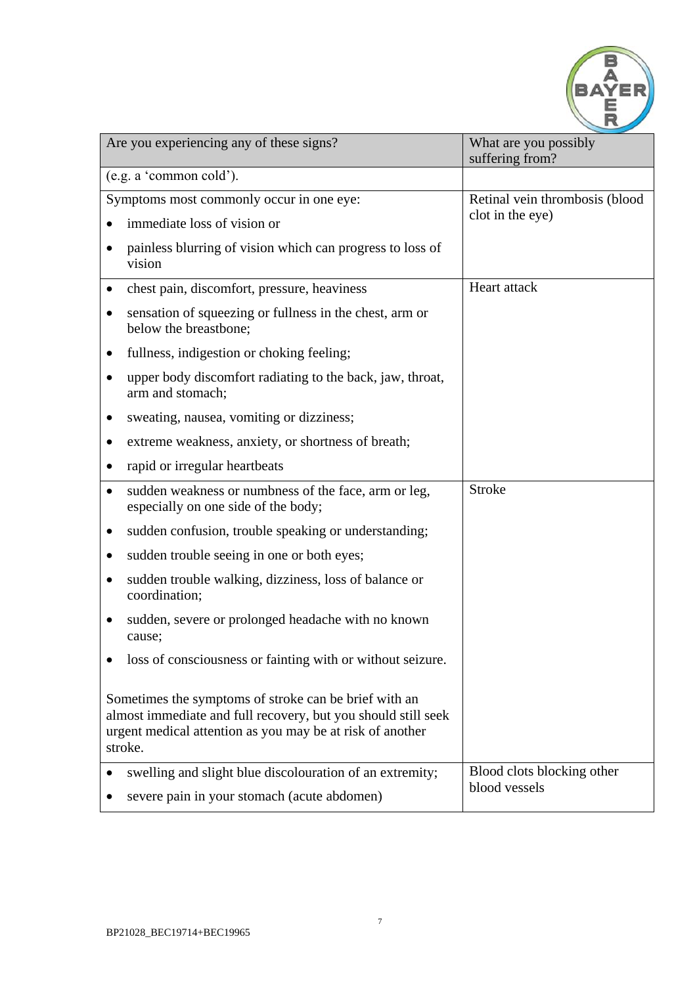

| Are you experiencing any of these signs?                                                                                                                                                       | What are you possibly<br>suffering from?    |  |
|------------------------------------------------------------------------------------------------------------------------------------------------------------------------------------------------|---------------------------------------------|--|
| (e.g. a 'common cold').                                                                                                                                                                        |                                             |  |
| Symptoms most commonly occur in one eye:                                                                                                                                                       | Retinal vein thrombosis (blood              |  |
| immediate loss of vision or                                                                                                                                                                    | clot in the eye)                            |  |
| painless blurring of vision which can progress to loss of<br>٠<br>vision                                                                                                                       |                                             |  |
| chest pain, discomfort, pressure, heaviness<br>٠                                                                                                                                               | Heart attack                                |  |
| sensation of squeezing or fullness in the chest, arm or<br>$\bullet$<br>below the breastbone;                                                                                                  |                                             |  |
| fullness, indigestion or choking feeling;                                                                                                                                                      |                                             |  |
| upper body discomfort radiating to the back, jaw, throat,<br>arm and stomach;                                                                                                                  |                                             |  |
| sweating, nausea, vomiting or dizziness;                                                                                                                                                       |                                             |  |
| extreme weakness, anxiety, or shortness of breath;                                                                                                                                             |                                             |  |
| rapid or irregular heartbeats<br>$\bullet$                                                                                                                                                     |                                             |  |
| sudden weakness or numbness of the face, arm or leg,<br>$\bullet$<br>especially on one side of the body;                                                                                       | <b>Stroke</b>                               |  |
| sudden confusion, trouble speaking or understanding;<br>$\bullet$                                                                                                                              |                                             |  |
| sudden trouble seeing in one or both eyes;<br>$\bullet$                                                                                                                                        |                                             |  |
| sudden trouble walking, dizziness, loss of balance or<br>$\bullet$<br>coordination;                                                                                                            |                                             |  |
| sudden, severe or prolonged headache with no known<br>cause;                                                                                                                                   |                                             |  |
| loss of consciousness or fainting with or without seizure.                                                                                                                                     |                                             |  |
| Sometimes the symptoms of stroke can be brief with an<br>almost immediate and full recovery, but you should still seek<br>urgent medical attention as you may be at risk of another<br>stroke. |                                             |  |
| swelling and slight blue discolouration of an extremity;<br>severe pain in your stomach (acute abdomen)                                                                                        | Blood clots blocking other<br>blood vessels |  |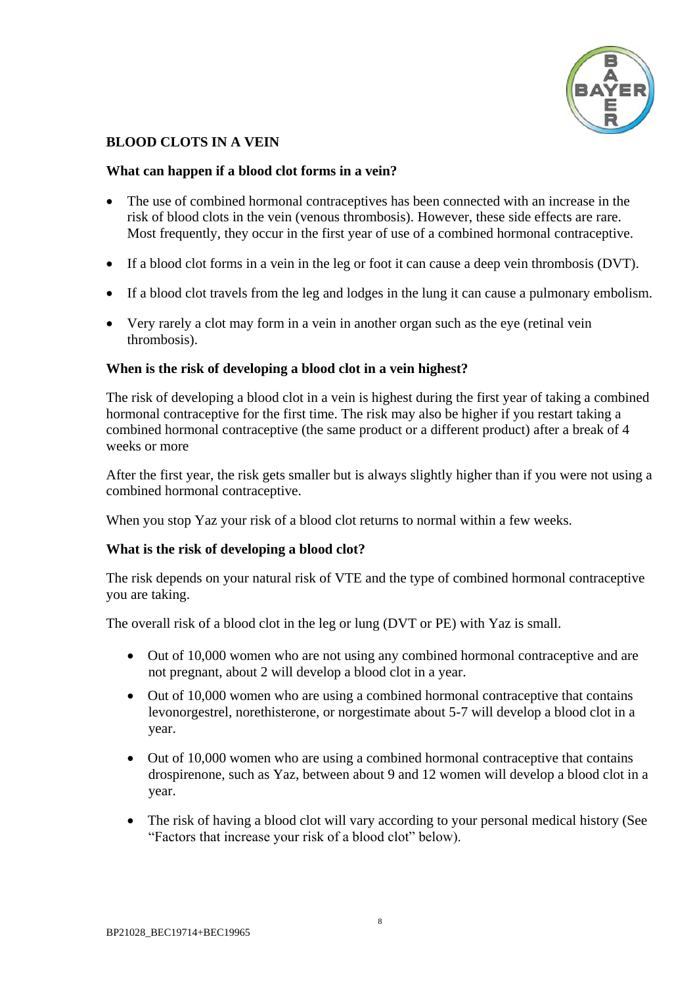

# **BLOOD CLOTS IN A VEIN**

### **What can happen if a blood clot forms in a vein?**

- The use of combined hormonal contraceptives has been connected with an increase in the risk of blood clots in the vein (venous thrombosis). However, these side effects are rare. Most frequently, they occur in the first year of use of a combined hormonal contraceptive.
- If a blood clot forms in a vein in the leg or foot it can cause a deep vein thrombosis (DVT).
- If a blood clot travels from the leg and lodges in the lung it can cause a pulmonary embolism.
- Very rarely a clot may form in a vein in another organ such as the eye (retinal vein thrombosis).

#### **When is the risk of developing a blood clot in a vein highest?**

The risk of developing a blood clot in a vein is highest during the first year of taking a combined hormonal contraceptive for the first time. The risk may also be higher if you restart taking a combined hormonal contraceptive (the same product or a different product) after a break of 4 weeks or more

After the first year, the risk gets smaller but is always slightly higher than if you were not using a combined hormonal contraceptive.

When you stop Yaz your risk of a blood clot returns to normal within a few weeks.

#### **What is the risk of developing a blood clot?**

The risk depends on your natural risk of VTE and the type of combined hormonal contraceptive you are taking.

The overall risk of a blood clot in the leg or lung (DVT or PE) with Yaz is small.

- Out of 10,000 women who are not using any combined hormonal contraceptive and are not pregnant, about 2 will develop a blood clot in a year.
- Out of 10,000 women who are using a combined hormonal contraceptive that contains levonorgestrel, norethisterone, or norgestimate about 5-7 will develop a blood clot in a year.
- Out of 10,000 women who are using a combined hormonal contraceptive that contains drospirenone, such as Yaz, between about 9 and 12 women will develop a blood clot in a year.
- The risk of having a blood clot will vary according to your personal medical history (See "Factors that increase your risk of a blood clot" below).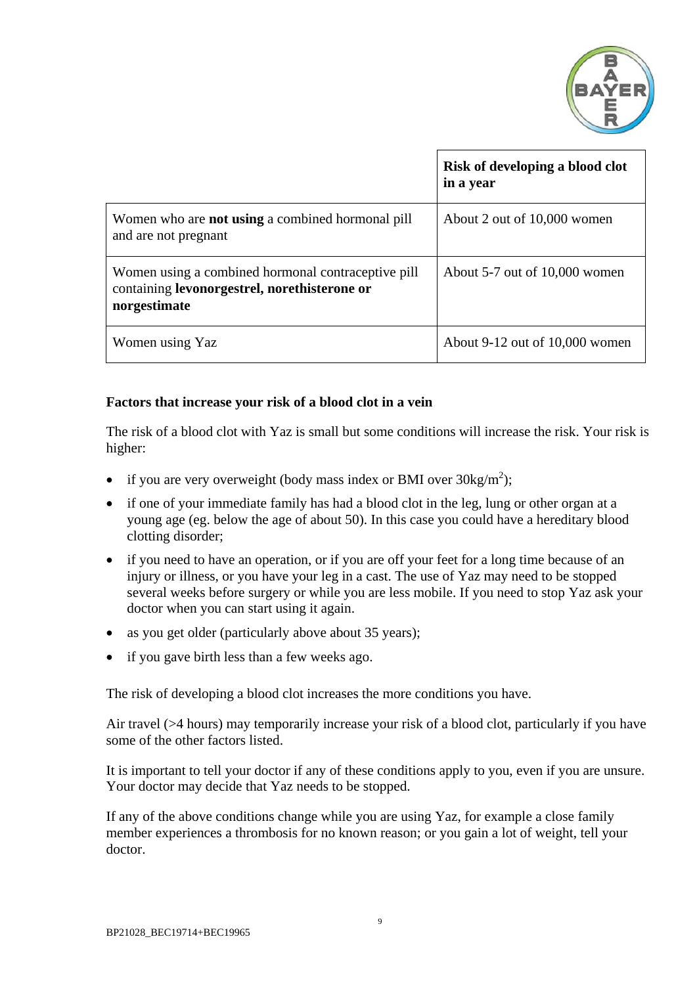

|                                                                                                                    | Risk of developing a blood clot<br>in a year |
|--------------------------------------------------------------------------------------------------------------------|----------------------------------------------|
| Women who are <b>not using</b> a combined hormonal pill<br>and are not pregnant                                    | About 2 out of 10,000 women                  |
| Women using a combined hormonal contraceptive pill<br>containing levonorgestrel, norethisterone or<br>norgestimate | About 5-7 out of 10,000 women                |
| Women using Yaz                                                                                                    | About 9-12 out of 10,000 women               |

## **Factors that increase your risk of a blood clot in a vein**

The risk of a blood clot with Yaz is small but some conditions will increase the risk. Your risk is higher:

- if you are very overweight (body mass index or BMI over  $30\text{kg/m}^2$ );
- if one of your immediate family has had a blood clot in the leg, lung or other organ at a young age (eg. below the age of about 50). In this case you could have a hereditary blood clotting disorder;
- if you need to have an operation, or if you are off your feet for a long time because of an injury or illness, or you have your leg in a cast. The use of Yaz may need to be stopped several weeks before surgery or while you are less mobile. If you need to stop Yaz ask your doctor when you can start using it again.
- as you get older (particularly above about 35 years);
- if you gave birth less than a few weeks ago.

The risk of developing a blood clot increases the more conditions you have.

Air travel (>4 hours) may temporarily increase your risk of a blood clot, particularly if you have some of the other factors listed.

It is important to tell your doctor if any of these conditions apply to you, even if you are unsure. Your doctor may decide that Yaz needs to be stopped.

If any of the above conditions change while you are using Yaz, for example a close family member experiences a thrombosis for no known reason; or you gain a lot of weight, tell your doctor.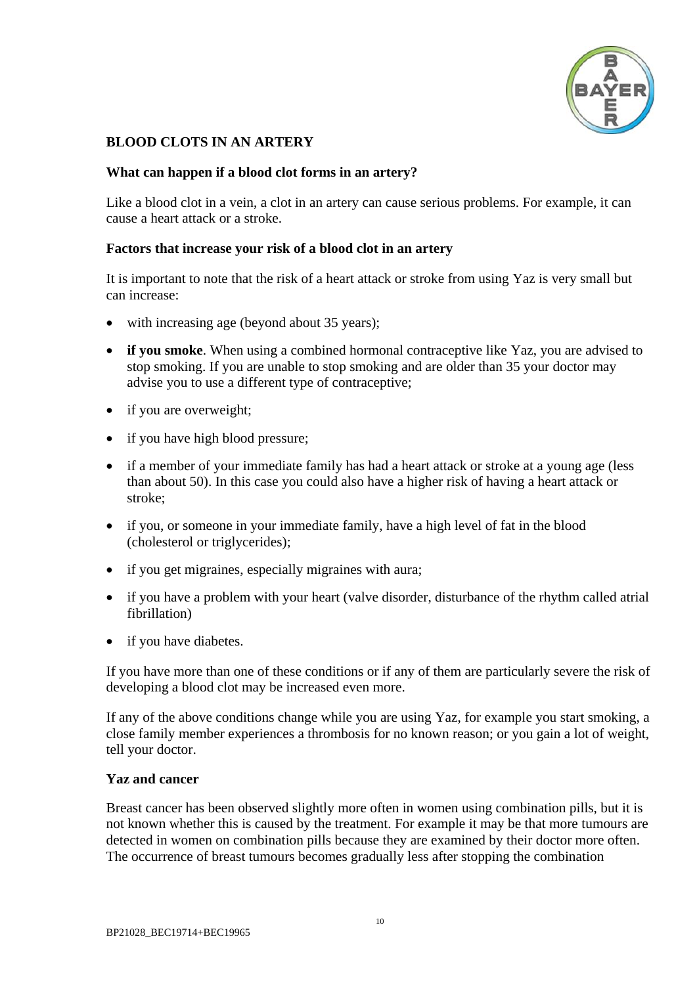

## **BLOOD CLOTS IN AN ARTERY**

### **What can happen if a blood clot forms in an artery?**

Like a blood clot in a vein, a clot in an artery can cause serious problems. For example, it can cause a heart attack or a stroke.

### **Factors that increase your risk of a blood clot in an artery**

It is important to note that the risk of a heart attack or stroke from using Yaz is very small but can increase:

- with increasing age (beyond about 35 years);
- **if you smoke**. When using a combined hormonal contraceptive like Yaz, you are advised to stop smoking. If you are unable to stop smoking and are older than 35 your doctor may advise you to use a different type of contraceptive;
- if you are overweight;
- if you have high blood pressure;
- if a member of your immediate family has had a heart attack or stroke at a young age (less than about 50). In this case you could also have a higher risk of having a heart attack or stroke;
- if you, or someone in your immediate family, have a high level of fat in the blood (cholesterol or triglycerides);
- if you get migraines, especially migraines with aura;
- if you have a problem with your heart (valve disorder, disturbance of the rhythm called atrial fibrillation)
- if you have diabetes.

If you have more than one of these conditions or if any of them are particularly severe the risk of developing a blood clot may be increased even more.

If any of the above conditions change while you are using Yaz, for example you start smoking, a close family member experiences a thrombosis for no known reason; or you gain a lot of weight, tell your doctor.

#### <span id="page-9-0"></span>**Yaz and cancer**

Breast cancer has been observed slightly more often in women using combination pills, but it is not known whether this is caused by the treatment. For example it may be that more tumours are detected in women on combination pills because they are examined by their doctor more often. The occurrence of breast tumours becomes gradually less after stopping the combination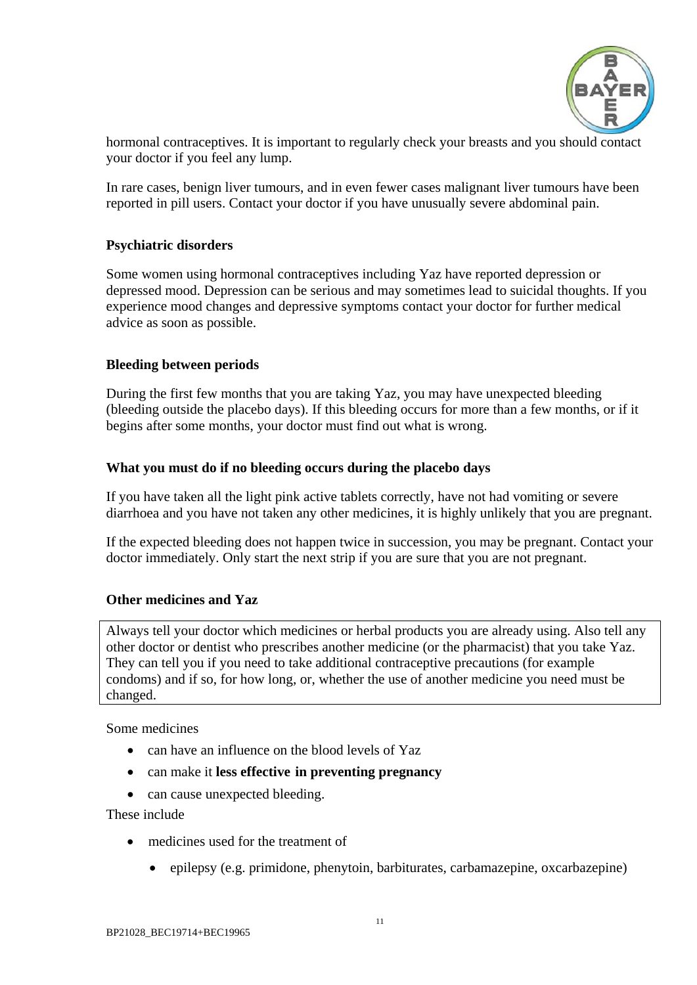

hormonal contraceptives. It is important to regularly check your breasts and you should contact your doctor if you feel any lump.

In rare cases, benign liver tumours, and in even fewer cases malignant liver tumours have been reported in pill users. Contact your doctor if you have unusually severe abdominal pain.

## <span id="page-10-0"></span>**Psychiatric disorders**

Some women using hormonal contraceptives including Yaz have reported depression or depressed mood. Depression can be serious and may sometimes lead to suicidal thoughts. If you experience mood changes and depressive symptoms contact your doctor for further medical advice as soon as possible.

### <span id="page-10-1"></span>**Bleeding between periods**

During the first few months that you are taking Yaz, you may have unexpected bleeding (bleeding outside the placebo days). If this bleeding occurs for more than a few months, or if it begins after some months, your doctor must find out what is wrong.

### <span id="page-10-2"></span>**What you must do if no bleeding occurs during the placebo days**

If you have taken all the light pink active tablets correctly, have not had vomiting or severe diarrhoea and you have not taken any other medicines, it is highly unlikely that you are pregnant.

If the expected bleeding does not happen twice in succession, you may be pregnant. Contact your doctor immediately. Only start the next strip if you are sure that you are not pregnant.

#### <span id="page-10-3"></span>**Other medicines and Yaz**

Always tell your doctor which medicines or herbal products you are already using. Also tell any other doctor or dentist who prescribes another medicine (or the pharmacist) that you take Yaz. They can tell you if you need to take additional contraceptive precautions (for example condoms) and if so, for how long, or, whether the use of another medicine you need must be changed.

Some medicines

- can have an influence on the blood levels of Yaz
- can make it **less effective in preventing pregnancy**
- can cause unexpected bleeding.

These include

- medicines used for the treatment of
	- epilepsy (e.g. primidone, phenytoin, barbiturates, carbamazepine, oxcarbazepine)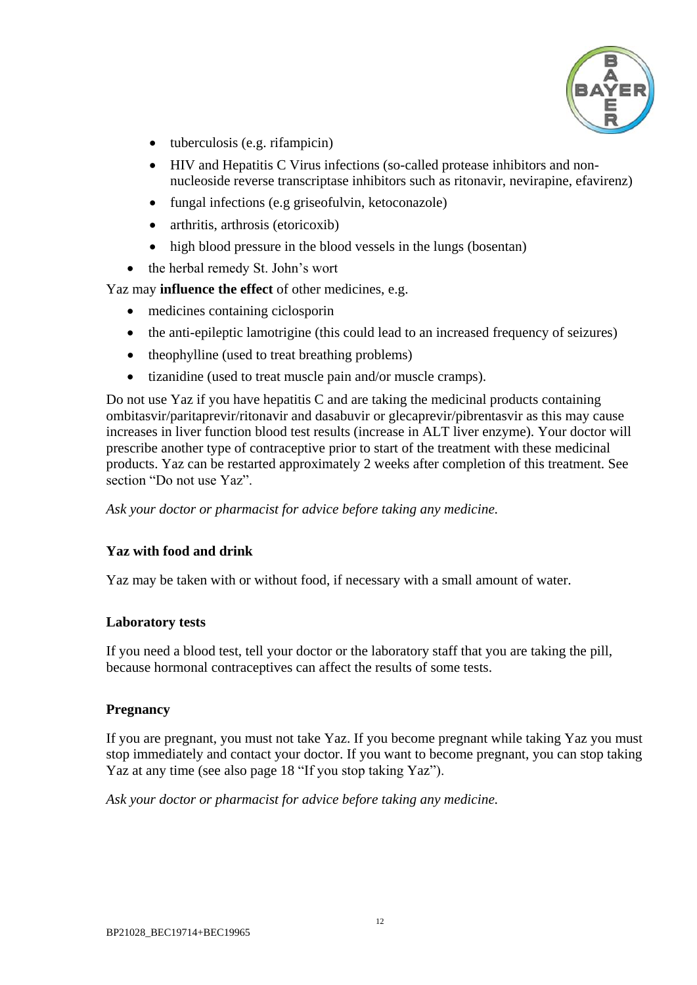

- $\bullet$  tuberculosis (e.g. rifampicin)
- HIV and Hepatitis C Virus infections (so-called protease inhibitors and nonnucleoside reverse transcriptase inhibitors such as ritonavir, nevirapine, efavirenz)
- fungal infections (e.g griseofulvin, ketoconazole)
- arthritis, arthrosis (etoricoxib)
- high blood pressure in the blood vessels in the lungs (bosentan)
- the herbal remedy St. John's wort

Yaz may **influence the effect** of other medicines, e.g.

- medicines containing ciclosporin
- the anti-epileptic lamotrigine (this could lead to an increased frequency of seizures)
- theophylline (used to treat breathing problems)
- tizanidine (used to treat muscle pain and/or muscle cramps).

Do not use Yaz if you have hepatitis C and are taking the medicinal products containing ombitasvir/paritaprevir/ritonavir and dasabuvir or glecaprevir/pibrentasvir as this may cause increases in liver function blood test results (increase in ALT liver enzyme). Your doctor will prescribe another type of contraceptive prior to start of the treatment with these medicinal products. Yaz can be restarted approximately 2 weeks after completion of this treatment. See section "Do not use Yaz".

*Ask your doctor or pharmacist for advice before taking any medicine.*

## <span id="page-11-0"></span>**Yaz with food and drink**

Yaz may be taken with or without food, if necessary with a small amount of water.

## <span id="page-11-1"></span>**Laboratory tests**

If you need a blood test, tell your doctor or the laboratory staff that you are taking the pill, because hormonal contraceptives can affect the results of some tests.

## <span id="page-11-2"></span>**Pregnancy**

If you are pregnant, you must not take Yaz. If you become pregnant while taking Yaz you must stop immediately and contact your doctor. If you want to become pregnant, you can stop taking Yaz at any time (see also page [18](#page-17-2) "If you stop taking Yaz").

*Ask your doctor or pharmacist for advice before taking any medicine.*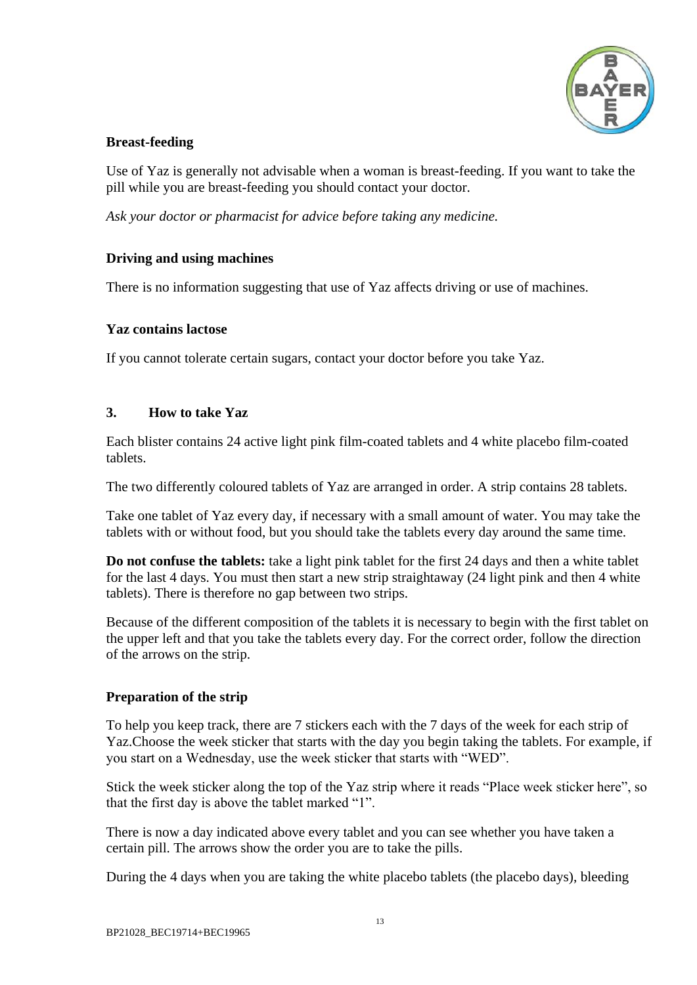

## <span id="page-12-0"></span>**Breast-feeding**

Use of Yaz is generally not advisable when a woman is breast-feeding. If you want to take the pill while you are breast-feeding you should contact your doctor.

*Ask your doctor or pharmacist for advice before taking any medicine.*

## <span id="page-12-1"></span>**Driving and using machines**

There is no information suggesting that use of Yaz affects driving or use of machines.

### <span id="page-12-2"></span>**Yaz contains lactose**

If you cannot tolerate certain sugars, contact your doctor before you take Yaz.

### <span id="page-12-3"></span>**3. How to take Yaz**

Each blister contains 24 active light pink film-coated tablets and 4 white placebo film-coated tablets.

The two differently coloured tablets of Yaz are arranged in order. A strip contains 28 tablets.

Take one tablet of Yaz every day, if necessary with a small amount of water. You may take the tablets with or without food, but you should take the tablets every day around the same time.

**Do not confuse the tablets:** take a light pink tablet for the first 24 days and then a white tablet for the last 4 days. You must then start a new strip straightaway (24 light pink and then 4 white tablets). There is therefore no gap between two strips.

Because of the different composition of the tablets it is necessary to begin with the first tablet on the upper left and that you take the tablets every day. For the correct order, follow the direction of the arrows on the strip.

## <span id="page-12-4"></span>**Preparation of the strip**

To help you keep track, there are 7 stickers each with the 7 days of the week for each strip of Yaz.Choose the week sticker that starts with the day you begin taking the tablets. For example, if you start on a Wednesday, use the week sticker that starts with "WED".

Stick the week sticker along the top of the Yaz strip where it reads "Place week sticker here", so that the first day is above the tablet marked "1".

There is now a day indicated above every tablet and you can see whether you have taken a certain pill. The arrows show the order you are to take the pills.

During the 4 days when you are taking the white placebo tablets (the placebo days), bleeding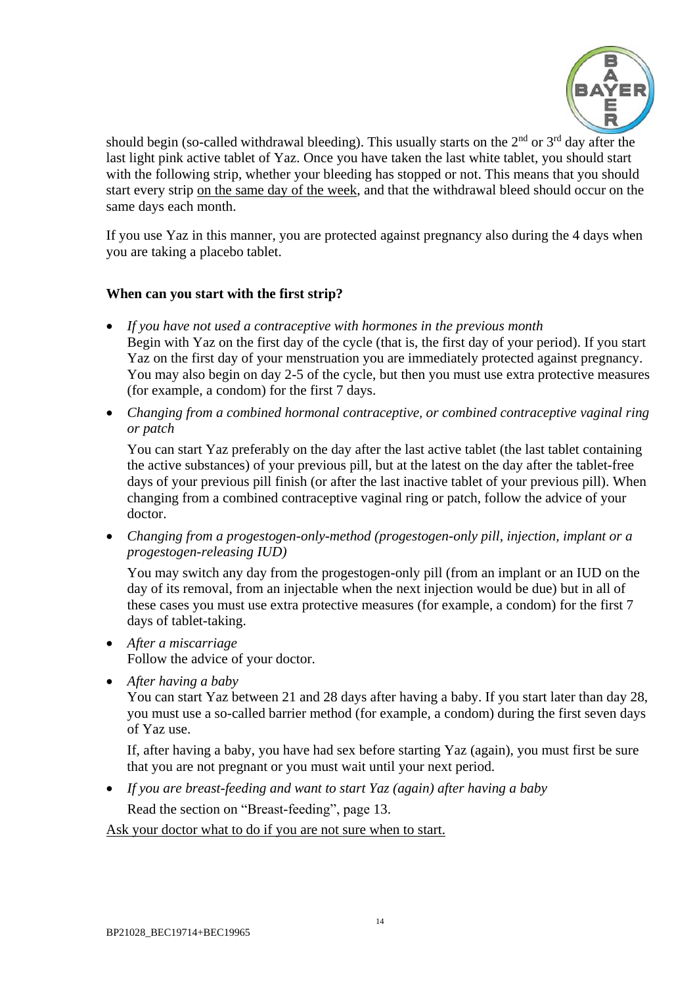

should begin (so-called withdrawal bleeding). This usually starts on the  $2<sup>nd</sup>$  or  $3<sup>rd</sup>$  day after the last light pink active tablet of Yaz. Once you have taken the last white tablet, you should start with the following strip, whether your bleeding has stopped or not. This means that you should start every strip on the same day of the week, and that the withdrawal bleed should occur on the same days each month.

If you use Yaz in this manner, you are protected against pregnancy also during the 4 days when you are taking a placebo tablet.

## <span id="page-13-0"></span>**When can you start with the first strip?**

- *If you have not used a contraceptive with hormones in the previous month* Begin with Yaz on the first day of the cycle (that is, the first day of your period). If you start Yaz on the first day of your menstruation you are immediately protected against pregnancy. You may also begin on day 2-5 of the cycle, but then you must use extra protective measures (for example, a condom) for the first 7 days.
- *Changing from a combined hormonal contraceptive, or combined contraceptive vaginal ring or patch*

You can start Yaz preferably on the day after the last active tablet (the last tablet containing the active substances) of your previous pill, but at the latest on the day after the tablet-free days of your previous pill finish (or after the last inactive tablet of your previous pill). When changing from a combined contraceptive vaginal ring or patch, follow the advice of your doctor.

 *Changing from a progestogen-only-method (progestogen-only pill, injection, implant or a progestogen-releasing IUD)*

You may switch any day from the progestogen-only pill (from an implant or an IUD on the day of its removal, from an injectable when the next injection would be due) but in all of these cases you must use extra protective measures (for example, a condom) for the first 7 days of tablet-taking.

- *After a miscarriage* Follow the advice of your doctor.
- *After having a baby*

You can start Yaz between 21 and 28 days after having a baby. If you start later than day 28, you must use a so-called barrier method (for example, a condom) during the first seven days of Yaz use.

If, after having a baby, you have had sex before starting Yaz (again), you must first be sure that you are not pregnant or you must wait until your next period.

*If you are breast-feeding and want to start Yaz (again) after having a baby*

Read the section on "Breast-feeding", page [13.](#page-12-0)

Ask your doctor what to do if you are not sure when to start.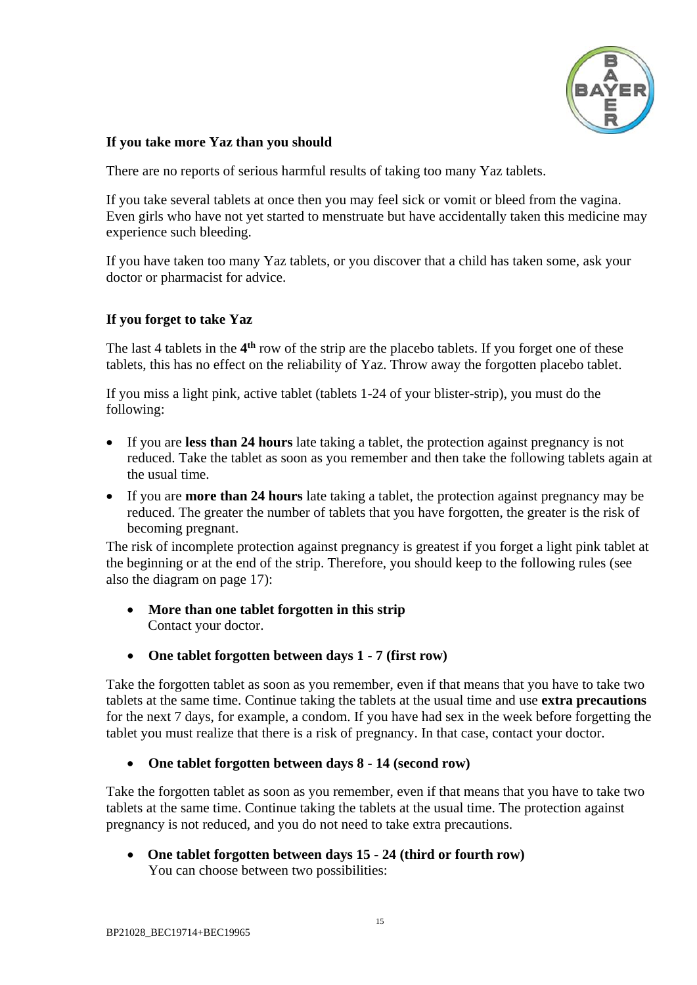

### <span id="page-14-0"></span>**If you take more Yaz than you should**

There are no reports of serious harmful results of taking too many Yaz tablets.

If you take several tablets at once then you may feel sick or vomit or bleed from the vagina. Even girls who have not yet started to menstruate but have accidentally taken this medicine may experience such bleeding.

If you have taken too many Yaz tablets, or you discover that a child has taken some, ask your doctor or pharmacist for advice.

## <span id="page-14-1"></span>**If you forget to take Yaz**

The last 4 tablets in the  $4<sup>th</sup>$  row of the strip are the placebo tablets. If you forget one of these tablets, this has no effect on the reliability of Yaz. Throw away the forgotten placebo tablet.

If you miss a light pink, active tablet (tablets 1-24 of your blister-strip), you must do the following:

- If you are **less than 24 hours** late taking a tablet, the protection against pregnancy is not reduced. Take the tablet as soon as you remember and then take the following tablets again at the usual time.
- If you are **more than 24 hours** late taking a tablet, the protection against pregnancy may be reduced. The greater the number of tablets that you have forgotten, the greater is the risk of becoming pregnant.

The risk of incomplete protection against pregnancy is greatest if you forget a light pink tablet at the beginning or at the end of the strip. Therefore, you should keep to the following rules (see also the diagram on page [17\)](#page-16-2):

- **More than one tablet forgotten in this strip** Contact your doctor.
- **One tablet forgotten between days 1 - 7 (first row)**

Take the forgotten tablet as soon as you remember, even if that means that you have to take two tablets at the same time. Continue taking the tablets at the usual time and use **extra precautions** for the next 7 days, for example, a condom. If you have had sex in the week before forgetting the tablet you must realize that there is a risk of pregnancy. In that case, contact your doctor.

### **One tablet forgotten between days 8 - 14 (second row)**

Take the forgotten tablet as soon as you remember, even if that means that you have to take two tablets at the same time. Continue taking the tablets at the usual time. The protection against pregnancy is not reduced, and you do not need to take extra precautions.

 **One tablet forgotten between days 15 - 24 (third or fourth row)** You can choose between two possibilities: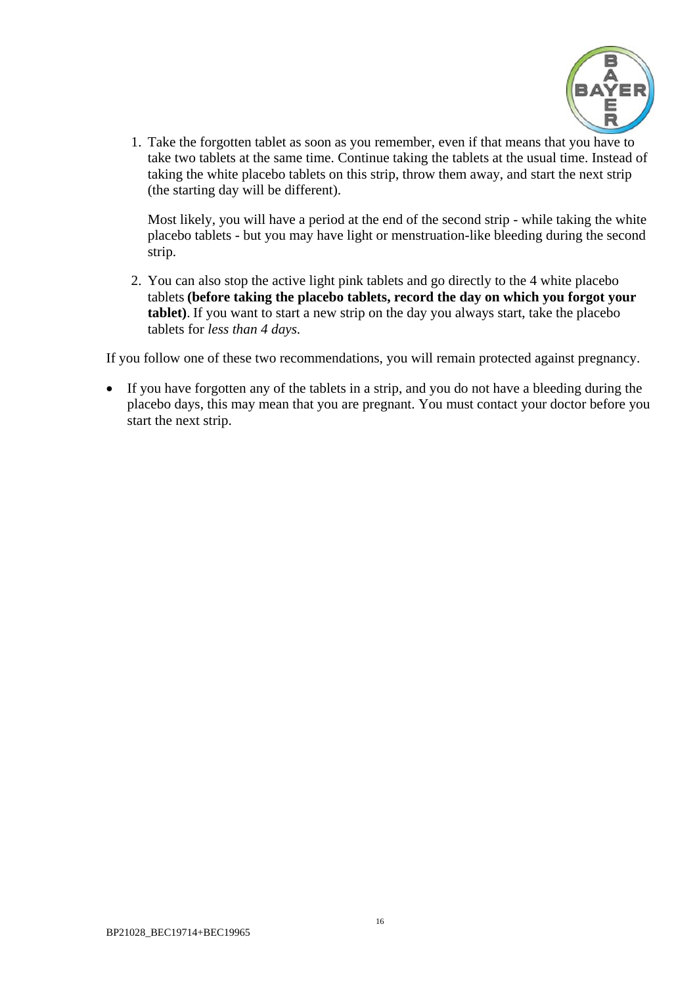

1. Take the forgotten tablet as soon as you remember, even if that means that you have to take two tablets at the same time. Continue taking the tablets at the usual time. Instead of taking the white placebo tablets on this strip, throw them away, and start the next strip (the starting day will be different).

Most likely, you will have a period at the end of the second strip - while taking the white placebo tablets - but you may have light or menstruation-like bleeding during the second strip.

2. You can also stop the active light pink tablets and go directly to the 4 white placebo tablets **(before taking the placebo tablets, record the day on which you forgot your tablet)**. If you want to start a new strip on the day you always start, take the placebo tablets for *less than 4 days.*

If you follow one of these two recommendations, you will remain protected against pregnancy.

 If you have forgotten any of the tablets in a strip, and you do not have a bleeding during the placebo days, this may mean that you are pregnant. You must contact your doctor before you start the next strip.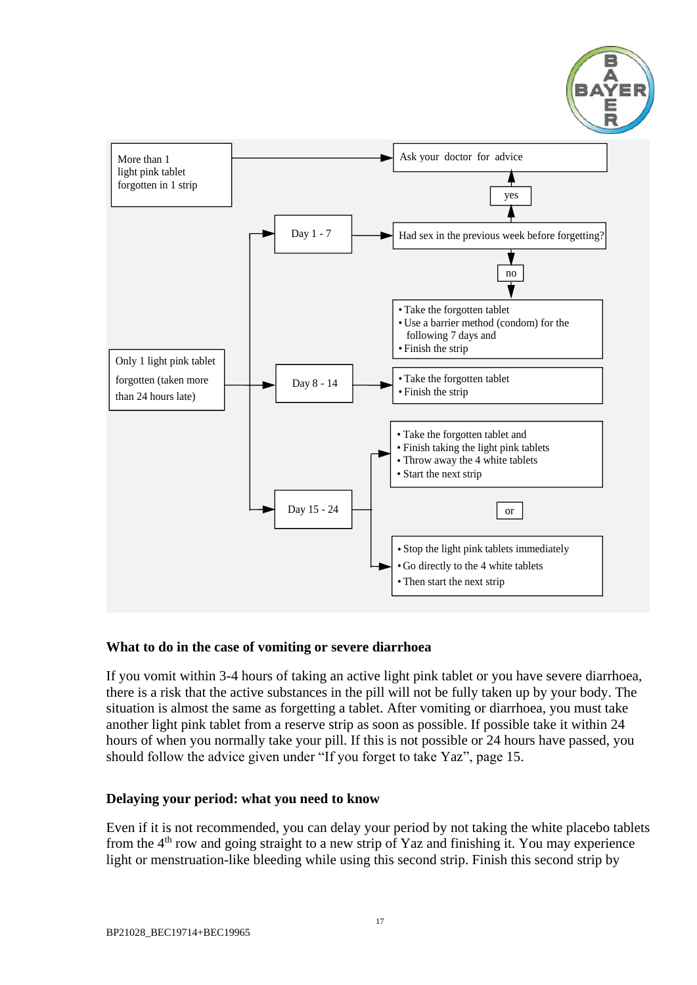

<span id="page-16-2"></span>

#### <span id="page-16-0"></span>**What to do in the case of vomiting or severe diarrhoea**

If you vomit within 3-4 hours of taking an active light pink tablet or you have severe diarrhoea, there is a risk that the active substances in the pill will not be fully taken up by your body. The situation is almost the same as forgetting a tablet. After vomiting or diarrhoea, you must take another light pink tablet from a reserve strip as soon as possible. If possible take it within 24 hours of when you normally take your pill. If this is not possible or 24 hours have passed, you should follow the advice given under "If you forget to take Yaz", page [15.](#page-14-1)

#### <span id="page-16-1"></span>**Delaying your period: what you need to know**

Even if it is not recommended, you can delay your period by not taking the white placebo tablets from the 4th row and going straight to a new strip of Yaz and finishing it. You may experience light or menstruation-like bleeding while using this second strip. Finish this second strip by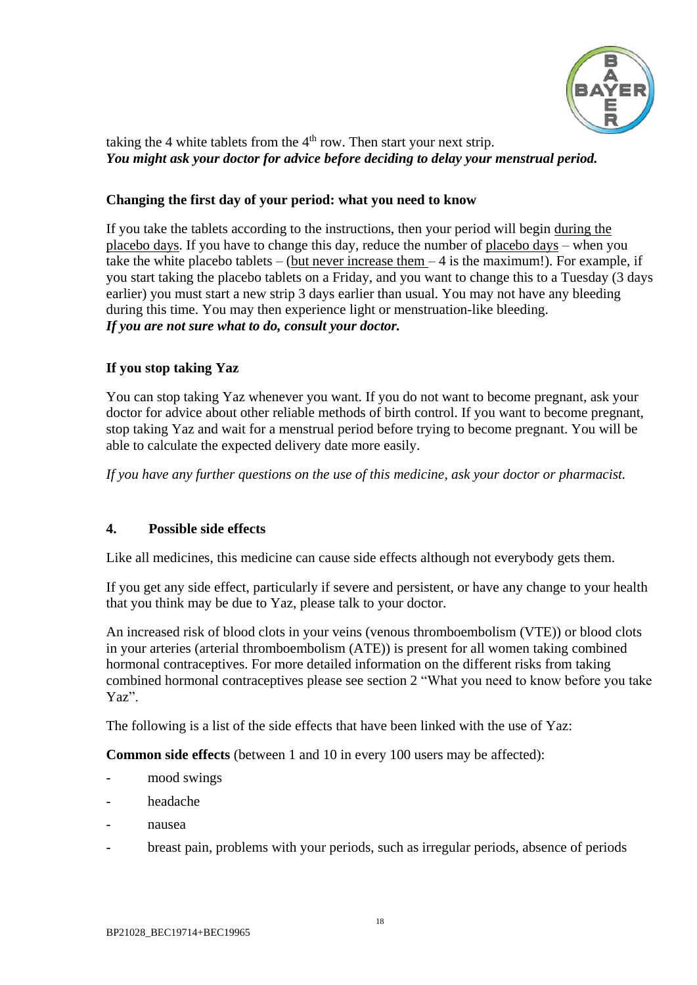

taking the 4 white tablets from the  $4<sup>th</sup>$  row. Then start your next strip. *You might ask your doctor for advice before deciding to delay your menstrual period.*

### <span id="page-17-1"></span>**Changing the first day of your period: what you need to know**

If you take the tablets according to the instructions, then your period will begin during the placebo days. If you have to change this day, reduce the number of placebo days – when you take the white placebo tablets – (but never increase them  $-4$  is the maximum!). For example, if you start taking the placebo tablets on a Friday, and you want to change this to a Tuesday (3 days earlier) you must start a new strip 3 days earlier than usual. You may not have any bleeding during this time. You may then experience light or menstruation-like bleeding. *If you are not sure what to do, consult your doctor.*

# <span id="page-17-2"></span>**If you stop taking Yaz**

You can stop taking Yaz whenever you want. If you do not want to become pregnant, ask your doctor for advice about other reliable methods of birth control. If you want to become pregnant, stop taking Yaz and wait for a menstrual period before trying to become pregnant. You will be able to calculate the expected delivery date more easily.

*If you have any further questions on the use of this medicine, ask your doctor or pharmacist.*

## <span id="page-17-0"></span>**4. Possible side effects**

Like all medicines, this medicine can cause side effects although not everybody gets them.

If you get any side effect, particularly if severe and persistent, or have any change to your health that you think may be due to Yaz, please talk to your doctor.

An increased risk of blood clots in your veins (venous thromboembolism (VTE)) or blood clots in your arteries (arterial thromboembolism (ATE)) is present for all women taking combined hormonal contraceptives. For more detailed information on the different risks from taking combined hormonal contraceptives please see section 2 "What you need to know before you take Yaz".

The following is a list of the side effects that have been linked with the use of Yaz:

**Common side effects** (between 1 and 10 in every 100 users may be affected):

- mood swings
- headache
- nausea
- breast pain, problems with your periods, such as irregular periods, absence of periods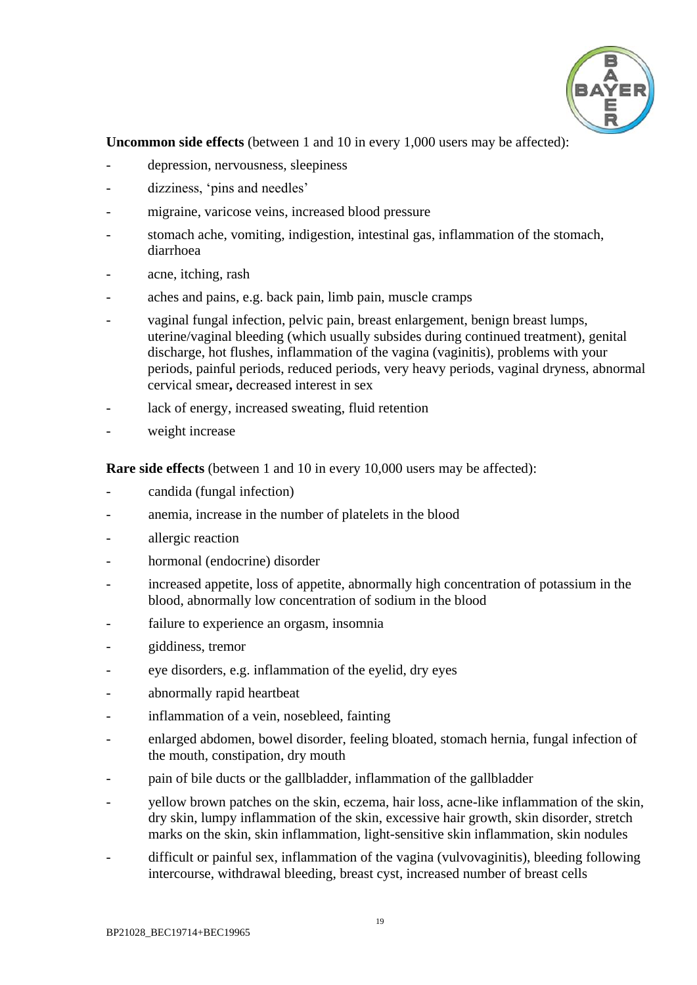

**Uncommon side effects** (between 1 and 10 in every 1,000 users may be affected):

- depression, nervousness, sleepiness
- dizziness, 'pins and needles'
- migraine, varicose veins, increased blood pressure
- stomach ache, vomiting, indigestion, intestinal gas, inflammation of the stomach, diarrhoea
- acne, itching, rash
- aches and pains, e.g. back pain, limb pain, muscle cramps
- vaginal fungal infection, pelvic pain, breast enlargement, benign breast lumps, uterine/vaginal bleeding (which usually subsides during continued treatment), genital discharge, hot flushes, inflammation of the vagina (vaginitis), problems with your periods, painful periods, reduced periods, very heavy periods, vaginal dryness, abnormal cervical smear**,** decreased interest in sex
- lack of energy, increased sweating, fluid retention
- weight increase

**Rare side effects** (between 1 and 10 in every 10,000 users may be affected):

- candida (fungal infection)
- anemia, increase in the number of platelets in the blood
- allergic reaction
- hormonal (endocrine) disorder
- increased appetite, loss of appetite, abnormally high concentration of potassium in the blood, abnormally low concentration of sodium in the blood
- failure to experience an orgasm, insomnia
- giddiness, tremor
- eye disorders, e.g. inflammation of the eyelid, dry eyes
- abnormally rapid heartbeat
- inflammation of a vein, nosebleed, fainting
- enlarged abdomen, bowel disorder, feeling bloated, stomach hernia, fungal infection of the mouth, constipation, dry mouth
- pain of bile ducts or the gallbladder, inflammation of the gallbladder
- yellow brown patches on the skin, eczema, hair loss, acne-like inflammation of the skin, dry skin, lumpy inflammation of the skin, excessive hair growth, skin disorder, stretch marks on the skin, skin inflammation, light-sensitive skin inflammation, skin nodules
- difficult or painful sex, inflammation of the vagina (vulvovaginitis), bleeding following intercourse, withdrawal bleeding, breast cyst, increased number of breast cells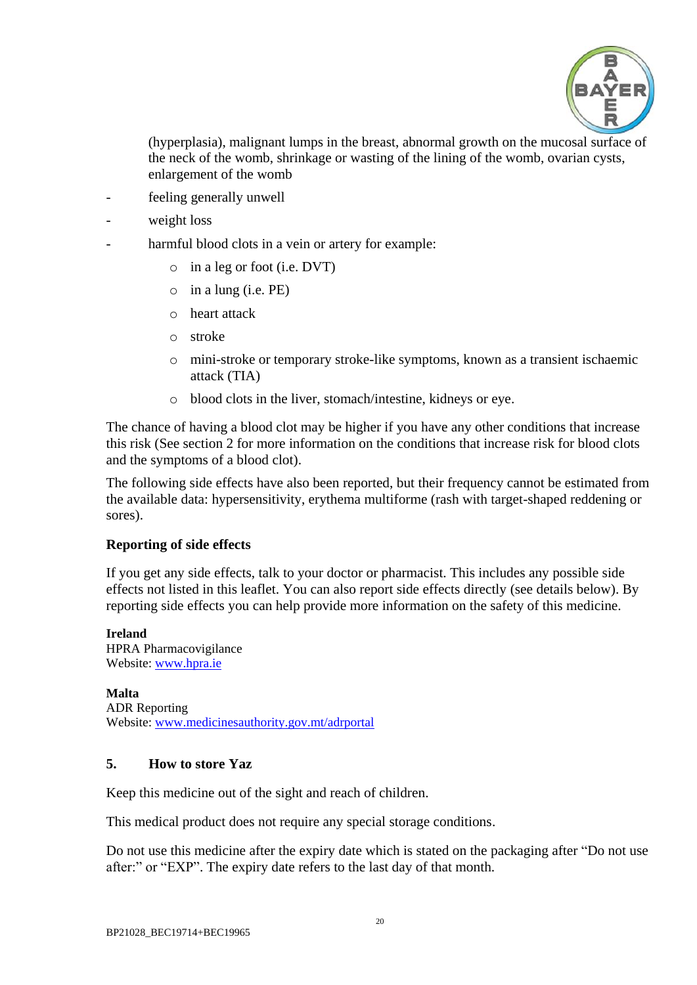

(hyperplasia), malignant lumps in the breast, abnormal growth on the mucosal surface of the neck of the womb, shrinkage or wasting of the lining of the womb, ovarian cysts, enlargement of the womb

- feeling generally unwell
- weight loss
- harmful blood clots in a vein or artery for example:
	- o in a leg or foot (i.e. DVT)
	- o in a lung (i.e. PE)
	- o heart attack
	- o stroke
	- o mini-stroke or temporary stroke-like symptoms, known as a transient ischaemic attack (TIA)
	- o blood clots in the liver, stomach/intestine, kidneys or eye.

The chance of having a blood clot may be higher if you have any other conditions that increase this risk (See section 2 for more information on the conditions that increase risk for blood clots and the symptoms of a blood clot).

The following side effects have also been reported, but their frequency cannot be estimated from the available data: hypersensitivity, erythema multiforme (rash with target-shaped reddening or sores).

#### **Reporting of side effects**

If you get any side effects, talk to your doctor or pharmacist. This includes any possible side effects not listed in this leaflet. You can also report side effects directly (see details below). By reporting side effects you can help provide more information on the safety of this medicine.

#### **Ireland**

HPRA Pharmacovigilance Website: [www.hpra.ie](http://www.hpra.ie/)

**Malta** ADR Reporting Website: [www.medicinesauthority.gov.mt/adrportal](http://www.medicinesauthority.gov.mt/adrportal)

## <span id="page-19-0"></span>**5. How to store Yaz**

Keep this medicine out of the sight and reach of children.

This medical product does not require any special storage conditions.

Do not use this medicine after the expiry date which is stated on the packaging after "Do not use after:" or "EXP". The expiry date refers to the last day of that month.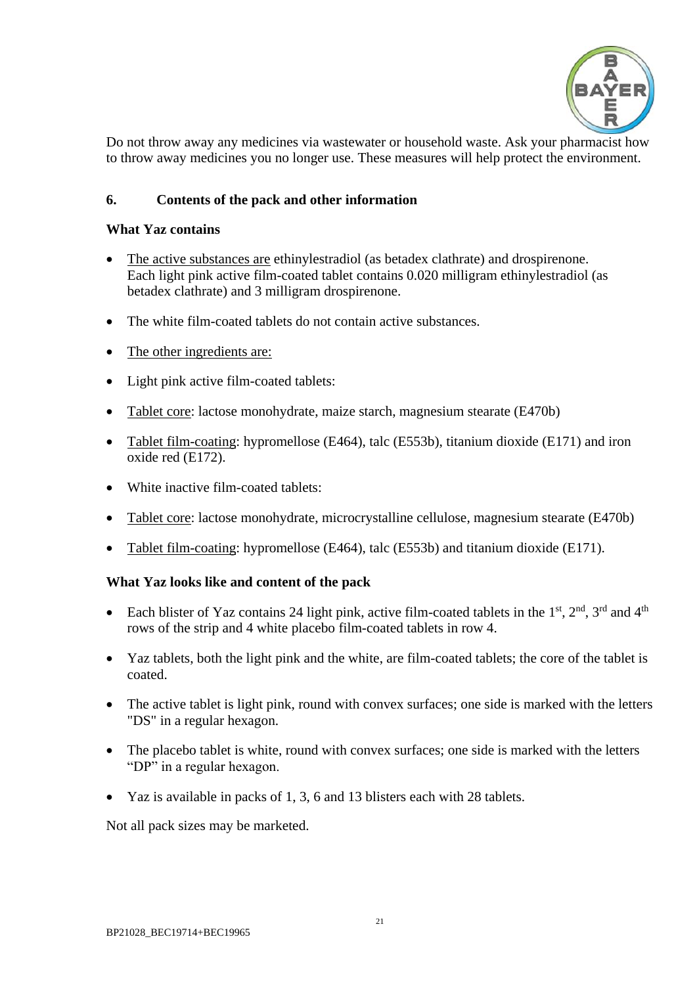

Do not throw away any medicines via wastewater or household waste. Ask your pharmacist how to throw away medicines you no longer use. These measures will help protect the environment.

## <span id="page-20-0"></span>**6. Contents of the pack and other information**

#### **What Yaz contains**

- The active substances are ethinylestradiol (as betadex clathrate) and drospirenone. Each light pink active film-coated tablet contains 0.020 milligram ethinylestradiol (as betadex clathrate) and 3 milligram drospirenone.
- The white film-coated tablets do not contain active substances.
- The other ingredients are:
- Light pink active film-coated tablets:
- Tablet core: lactose monohydrate, maize starch, magnesium stearate (E470b)
- Tablet film-coating: hypromellose (E464), talc (E553b), titanium dioxide (E171) and iron oxide red (E172).
- White inactive film-coated tablets:
- Tablet core: lactose monohydrate, microcrystalline cellulose, magnesium stearate (E470b)
- Tablet film-coating: hypromellose (E464), talc (E553b) and titanium dioxide (E171).

### **What Yaz looks like and content of the pack**

- Each blister of Yaz contains 24 light pink, active film-coated tablets in the  $1<sup>st</sup>$ ,  $2<sup>nd</sup>$ ,  $3<sup>rd</sup>$  and  $4<sup>th</sup>$ rows of the strip and 4 white placebo film-coated tablets in row 4.
- Yaz tablets, both the light pink and the white, are film-coated tablets; the core of the tablet is coated.
- The active tablet is light pink, round with convex surfaces; one side is marked with the letters "DS" in a regular hexagon.
- The placebo tablet is white, round with convex surfaces; one side is marked with the letters "DP" in a regular hexagon.
- Yaz is available in packs of 1, 3, 6 and 13 blisters each with 28 tablets.

Not all pack sizes may be marketed.